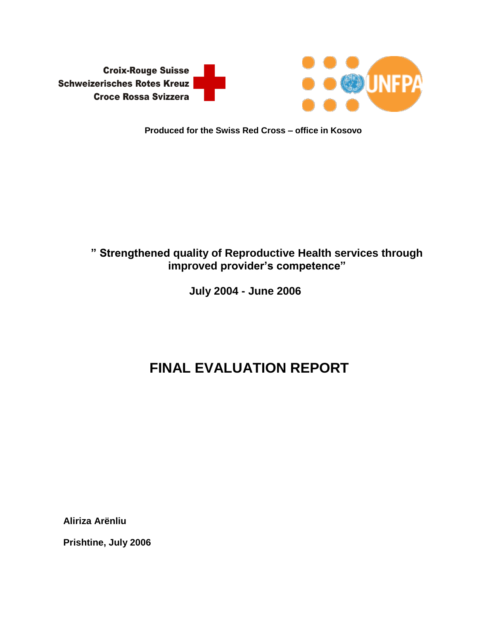

## **Produced for the Swiss Red Cross – office in Kosovo**

# **" Strengthened quality of Reproductive Health services through improved provider's competence"**

 **July 2004 - June 2006**

# **FINAL EVALUATION REPORT**

**Aliriza Arënliu**

**Prishtine, July 2006**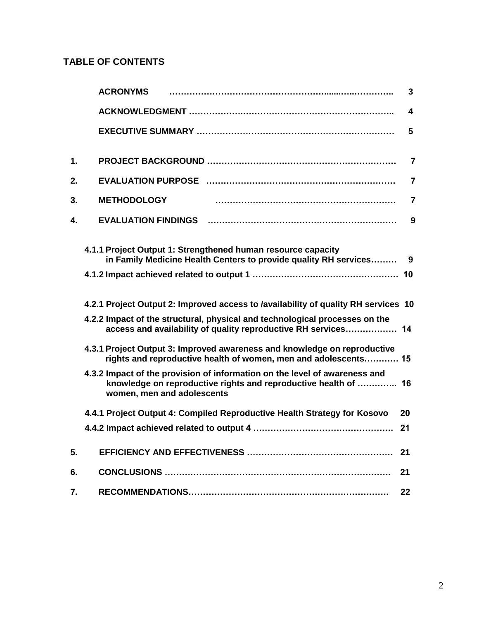# **TABLE OF CONTENTS**

|    | <b>ACRONYMS</b>                                                                                                                                                             | 3                       |
|----|-----------------------------------------------------------------------------------------------------------------------------------------------------------------------------|-------------------------|
|    |                                                                                                                                                                             | $\overline{\mathbf{4}}$ |
|    |                                                                                                                                                                             | 5                       |
| 1. |                                                                                                                                                                             | $\overline{7}$          |
| 2. |                                                                                                                                                                             | 7                       |
| 3. | <b>METHODOLOGY</b>                                                                                                                                                          | $\overline{7}$          |
| 4. | <b>EVALUATION FINDINGS</b>                                                                                                                                                  | 9                       |
|    | 4.1.1 Project Output 1: Strengthened human resource capacity<br>in Family Medicine Health Centers to provide quality RH services                                            | 9                       |
|    |                                                                                                                                                                             |                         |
|    | 4.2.1 Project Output 2: Improved access to /availability of quality RH services 10                                                                                          |                         |
|    | 4.2.2 Impact of the structural, physical and technological processes on the<br>access and availability of quality reproductive RH services 14                               |                         |
|    | 4.3.1 Project Output 3: Improved awareness and knowledge on reproductive<br>rights and reproductive health of women, men and adolescents 15                                 |                         |
|    | 4.3.2 Impact of the provision of information on the level of awareness and<br>knowledge on reproductive rights and reproductive health of  16<br>women, men and adolescents |                         |
|    | 4.4.1 Project Output 4: Compiled Reproductive Health Strategy for Kosovo                                                                                                    | 20                      |
|    |                                                                                                                                                                             | 21                      |
| 5. |                                                                                                                                                                             | 21                      |
| 6. |                                                                                                                                                                             | 21                      |
| 7. |                                                                                                                                                                             | 22                      |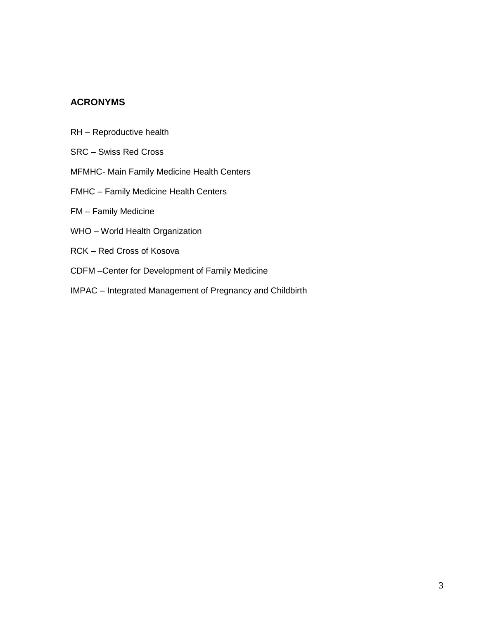# **ACRONYMS**

- RH Reproductive health
- SRC Swiss Red Cross
- MFMHC- Main Family Medicine Health Centers
- FMHC Family Medicine Health Centers
- FM Family Medicine
- WHO World Health Organization
- RCK Red Cross of Kosova
- CDFM –Center for Development of Family Medicine
- IMPAC Integrated Management of Pregnancy and Childbirth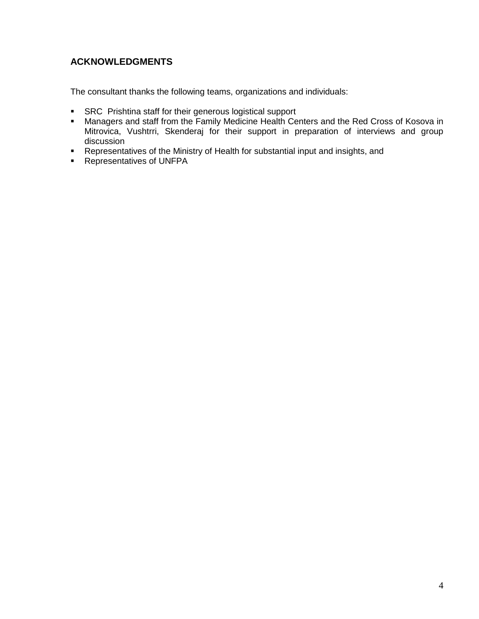# **ACKNOWLEDGMENTS**

The consultant thanks the following teams, organizations and individuals:

- **SRC** Prishtina staff for their generous logistical support
- Managers and staff from the Family Medicine Health Centers and the Red Cross of Kosova in Mitrovica, Vushtrri, Skenderaj for their support in preparation of interviews and group discussion
- Representatives of the Ministry of Health for substantial input and insights, and
- **Representatives of UNFPA**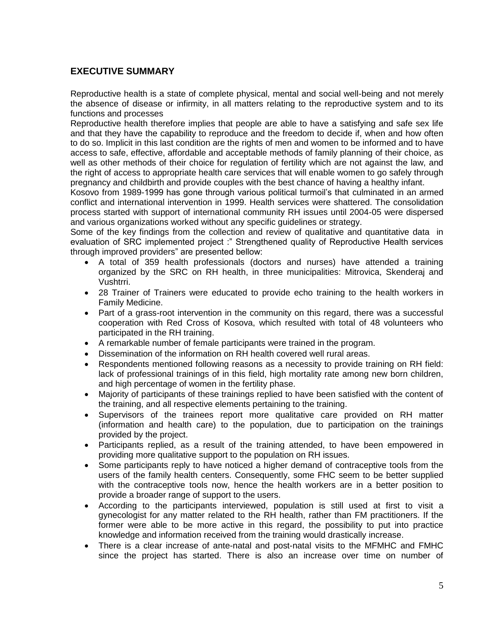# **EXECUTIVE SUMMARY**

Reproductive health is a state of complete physical, mental and social well-being and not merely the absence of disease or infirmity, in all matters relating to the reproductive system and to its functions and processes

Reproductive health therefore implies that people are able to have a satisfying and safe sex life and that they have the capability to reproduce and the freedom to decide if, when and how often to do so. Implicit in this last condition are the rights of men and women to be informed and to have access to safe, effective, affordable and acceptable methods of family planning of their choice, as well as other methods of their choice for regulation of fertility which are not against the law, and the right of access to appropriate health care services that will enable women to go safely through pregnancy and childbirth and provide couples with the best chance of having a healthy infant.

Kosovo from 1989-1999 has gone through various political turmoil's that culminated in an armed conflict and international intervention in 1999. Health services were shattered. The consolidation process started with support of international community RH issues until 2004-05 were dispersed and various organizations worked without any specific guidelines or strategy.

Some of the key findings from the collection and review of qualitative and quantitative data in evaluation of SRC implemented project :" Strengthened quality of Reproductive Health services through improved providers" are presented bellow:

- A total of 359 health professionals (doctors and nurses) have attended a training organized by the SRC on RH health, in three municipalities: Mitrovica, Skenderaj and Vushtrri.
- 28 Trainer of Trainers were educated to provide echo training to the health workers in Family Medicine.
- Part of a grass-root intervention in the community on this regard, there was a successful cooperation with Red Cross of Kosova, which resulted with total of 48 volunteers who participated in the RH training.
- A remarkable number of female participants were trained in the program.
- Dissemination of the information on RH health covered well rural areas.
- Respondents mentioned following reasons as a necessity to provide training on RH field: lack of professional trainings of in this field, high mortality rate among new born children, and high percentage of women in the fertility phase.
- Majority of participants of these trainings replied to have been satisfied with the content of the training, and all respective elements pertaining to the training.
- Supervisors of the trainees report more qualitative care provided on RH matter (information and health care) to the population, due to participation on the trainings provided by the project.
- Participants replied, as a result of the training attended, to have been empowered in providing more qualitative support to the population on RH issues.
- Some participants reply to have noticed a higher demand of contraceptive tools from the users of the family health centers. Consequently, some FHC seem to be better supplied with the contraceptive tools now, hence the health workers are in a better position to provide a broader range of support to the users.
- According to the participants interviewed, population is still used at first to visit a gynecologist for any matter related to the RH health, rather than FM practitioners. If the former were able to be more active in this regard, the possibility to put into practice knowledge and information received from the training would drastically increase.
- There is a clear increase of ante-natal and post-natal visits to the MFMHC and FMHC since the project has started. There is also an increase over time on number of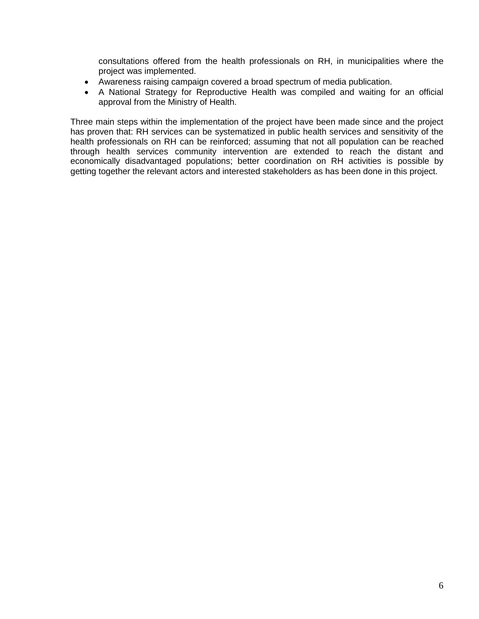consultations offered from the health professionals on RH, in municipalities where the project was implemented.

- Awareness raising campaign covered a broad spectrum of media publication.
- A National Strategy for Reproductive Health was compiled and waiting for an official approval from the Ministry of Health.

Three main steps within the implementation of the project have been made since and the project has proven that: RH services can be systematized in public health services and sensitivity of the health professionals on RH can be reinforced; assuming that not all population can be reached through health services community intervention are extended to reach the distant and economically disadvantaged populations; better coordination on RH activities is possible by getting together the relevant actors and interested stakeholders as has been done in this project.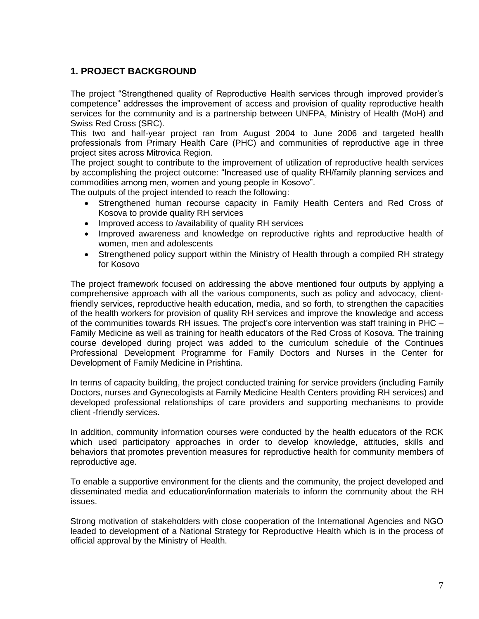# **1. PROJECT BACKGROUND**

The project "Strengthened quality of Reproductive Health services through improved provider's competence" addresses the improvement of access and provision of quality reproductive health services for the community and is a partnership between UNFPA, Ministry of Health (MoH) and Swiss Red Cross (SRC).

This two and half-year project ran from August 2004 to June 2006 and targeted health professionals from Primary Health Care (PHC) and communities of reproductive age in three project sites across Mitrovica Region.

The project sought to contribute to the improvement of utilization of reproductive health services by accomplishing the project outcome: "Increased use of quality RH/family planning services and commodities among men, women and young people in Kosovo".

The outputs of the project intended to reach the following:

- Strengthened human recourse capacity in Family Health Centers and Red Cross of Kosova to provide quality RH services
- Improved access to /availability of quality RH services
- Improved awareness and knowledge on reproductive rights and reproductive health of women, men and adolescents
- Strengthened policy support within the Ministry of Health through a compiled RH strategy for Kosovo

The project framework focused on addressing the above mentioned four outputs by applying a comprehensive approach with all the various components, such as policy and advocacy, clientfriendly services, reproductive health education, media, and so forth, to strengthen the capacities of the health workers for provision of quality RH services and improve the knowledge and access of the communities towards RH issues. The project's core intervention was staff training in PHC – Family Medicine as well as training for health educators of the Red Cross of Kosova. The training course developed during project was added to the curriculum schedule of the Continues Professional Development Programme for Family Doctors and Nurses in the Center for Development of Family Medicine in Prishtina.

In terms of capacity building, the project conducted training for service providers (including Family Doctors, nurses and Gynecologists at Family Medicine Health Centers providing RH services) and developed professional relationships of care providers and supporting mechanisms to provide client -friendly services.

In addition, community information courses were conducted by the health educators of the RCK which used participatory approaches in order to develop knowledge, attitudes, skills and behaviors that promotes prevention measures for reproductive health for community members of reproductive age.

To enable a supportive environment for the clients and the community, the project developed and disseminated media and education/information materials to inform the community about the RH issues.

Strong motivation of stakeholders with close cooperation of the International Agencies and NGO leaded to development of a National Strategy for Reproductive Health which is in the process of official approval by the Ministry of Health.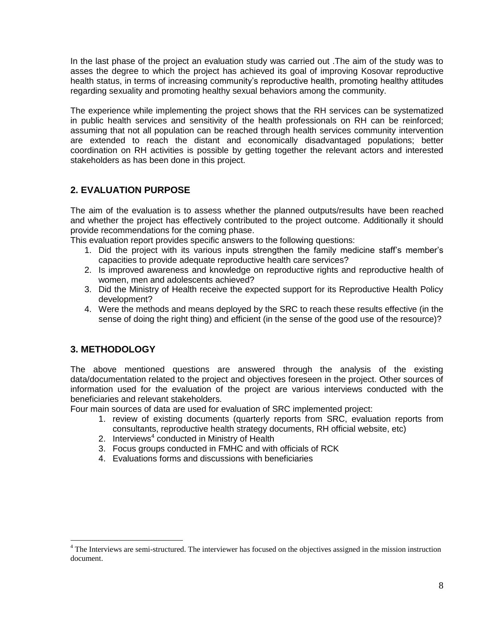In the last phase of the project an evaluation study was carried out .The aim of the study was to asses the degree to which the project has achieved its goal of improving Kosovar reproductive health status, in terms of increasing community's reproductive health, promoting healthy attitudes regarding sexuality and promoting healthy sexual behaviors among the community.

The experience while implementing the project shows that the RH services can be systematized in public health services and sensitivity of the health professionals on RH can be reinforced; assuming that not all population can be reached through health services community intervention are extended to reach the distant and economically disadvantaged populations; better coordination on RH activities is possible by getting together the relevant actors and interested stakeholders as has been done in this project.

# **2. EVALUATION PURPOSE**

The aim of the evaluation is to assess whether the planned outputs/results have been reached and whether the project has effectively contributed to the project outcome. Additionally it should provide recommendations for the coming phase.

This evaluation report provides specific answers to the following questions:

- 1. Did the project with its various inputs strengthen the family medicine staff's member's capacities to provide adequate reproductive health care services?
- 2. Is improved awareness and knowledge on reproductive rights and reproductive health of women, men and adolescents achieved?
- 3. Did the Ministry of Health receive the expected support for its Reproductive Health Policy development?
- 4. Were the methods and means deployed by the SRC to reach these results effective (in the sense of doing the right thing) and efficient (in the sense of the good use of the resource)?

# **3. METHODOLOGY**

 $\overline{a}$ 

The above mentioned questions are answered through the analysis of the existing data/documentation related to the project and objectives foreseen in the project. Other sources of information used for the evaluation of the project are various interviews conducted with the beneficiaries and relevant stakeholders.

Four main sources of data are used for evaluation of SRC implemented project:

- 1. review of existing documents (quarterly reports from SRC, evaluation reports from consultants, reproductive health strategy documents, RH official website, etc)
- 2. Interviews<sup>4</sup> conducted in Ministry of Health
- 3. Focus groups conducted in FMHC and with officials of RCK
- 4. Evaluations forms and discussions with beneficiaries

<sup>&</sup>lt;sup>4</sup> The Interviews are semi-structured. The interviewer has focused on the objectives assigned in the mission instruction document.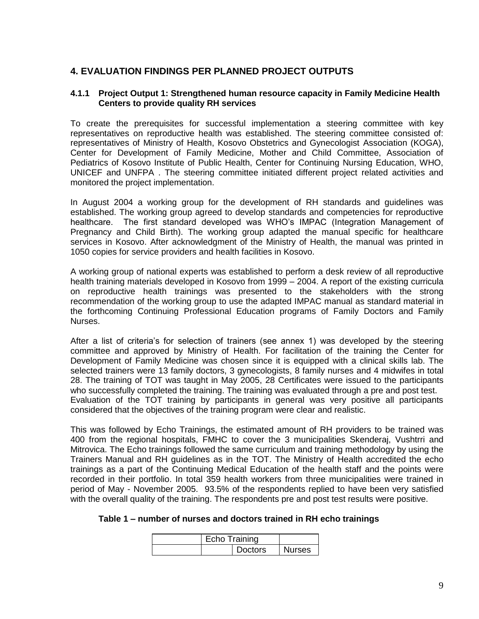# **4. EVALUATION FINDINGS PER PLANNED PROJECT OUTPUTS**

#### **4.1.1 Project Output 1: Strengthened human resource capacity in Family Medicine Health Centers to provide quality RH services**

To create the prerequisites for successful implementation a steering committee with key representatives on reproductive health was established. The steering committee consisted of: representatives of Ministry of Health, Kosovo Obstetrics and Gynecologist Association (KOGA), Center for Development of Family Medicine, Mother and Child Committee, Association of Pediatrics of Kosovo Institute of Public Health, Center for Continuing Nursing Education, WHO, UNICEF and UNFPA . The steering committee initiated different project related activities and monitored the project implementation.

In August 2004 a working group for the development of RH standards and guidelines was established. The working group agreed to develop standards and competencies for reproductive healthcare. The first standard developed was WHO's IMPAC (Integration Management of Pregnancy and Child Birth). The working group adapted the manual specific for healthcare services in Kosovo. After acknowledgment of the Ministry of Health, the manual was printed in 1050 copies for service providers and health facilities in Kosovo.

A working group of national experts was established to perform a desk review of all reproductive health training materials developed in Kosovo from 1999 – 2004. A report of the existing curricula on reproductive health trainings was presented to the stakeholders with the strong recommendation of the working group to use the adapted IMPAC manual as standard material in the forthcoming Continuing Professional Education programs of Family Doctors and Family Nurses.

After a list of criteria's for selection of trainers (see annex 1) was developed by the steering committee and approved by Ministry of Health. For facilitation of the training the Center for Development of Family Medicine was chosen since it is equipped with a clinical skills lab. The selected trainers were 13 family doctors, 3 gynecologists, 8 family nurses and 4 midwifes in total 28. The training of TOT was taught in May 2005, 28 Certificates were issued to the participants who successfully completed the training. The training was evaluated through a pre and post test. Evaluation of the TOT training by participants in general was very positive all participants considered that the objectives of the training program were clear and realistic.

This was followed by Echo Trainings, the estimated amount of RH providers to be trained was 400 from the regional hospitals, FMHC to cover the 3 municipalities Skenderaj, Vushtrri and Mitrovica. The Echo trainings followed the same curriculum and training methodology by using the Trainers Manual and RH guidelines as in the TOT. The Ministry of Health accredited the echo trainings as a part of the Continuing Medical Education of the health staff and the points were recorded in their portfolio. In total 359 health workers from three municipalities were trained in period of May - November 2005. 93.5% of the respondents replied to have been very satisfied with the overall quality of the training. The respondents pre and post test results were positive.

|  |  |  | Table 1 – number of nurses and doctors trained in RH echo trainings |
|--|--|--|---------------------------------------------------------------------|
|--|--|--|---------------------------------------------------------------------|

| Echo Training  |  |               |
|----------------|--|---------------|
| <b>Doctors</b> |  | <b>Nurses</b> |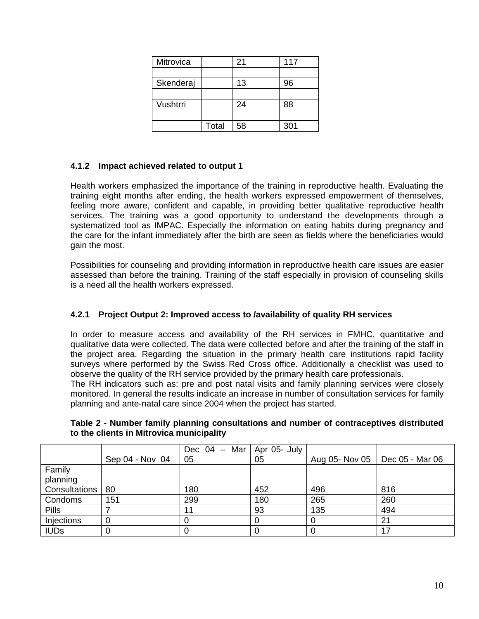| Mitrovica |       | 21 | 117 |
|-----------|-------|----|-----|
|           |       |    |     |
| Skenderaj |       | 13 | 96  |
|           |       |    |     |
| Vushtrri  |       | 24 | 88  |
|           |       |    |     |
|           | Total | 58 | 301 |

### **4.1.2 Impact achieved related to output 1**

Health workers emphasized the importance of the training in reproductive health. Evaluating the training eight months after ending, the health workers expressed empowerment of themselves, feeling more aware, confident and capable, in providing better qualitative reproductive health services. The training was a good opportunity to understand the developments through a systematized tool as IMPAC. Especially the information on eating habits during pregnancy and the care for the infant immediately after the birth are seen as fields where the beneficiaries would gain the most.

Possibilities for counseling and providing information in reproductive health care issues are easier assessed than before the training. Training of the staff especially in provision of counseling skills is a need all the health workers expressed.

### **4.2.1 Project Output 2: Improved access to /availability of quality RH services**

In order to measure access and availability of the RH services in FMHC, quantitative and qualitative data were collected. The data were collected before and after the training of the staff in the project area. Regarding the situation in the primary health care institutions rapid facility surveys where performed by the Swiss Red Cross office. Additionally a checklist was used to observe the quality of the RH service provided by the primary health care professionals.

The RH indicators such as: pre and post natal visits and family planning services were closely monitored. In general the results indicate an increase in number of consultation services for family planning and ante-natal care since 2004 when the project has started.

|                    |                 | Dec $04$ – Mar   Apr 05- July |     |                                  |     |
|--------------------|-----------------|-------------------------------|-----|----------------------------------|-----|
|                    | Sep 04 - Nov 04 | 05                            | 05  | Aug 05- Nov 05   Dec 05 - Mar 06 |     |
| Family<br>planning |                 |                               |     |                                  |     |
| Consultations      | 80              | 180                           | 452 | 496                              | 816 |
| Condoms            | 151             | 299                           | 180 | 265                              | 260 |
| <b>Pills</b>       |                 | 11                            | 93  | 135                              | 494 |
| Injections         |                 |                               |     |                                  | 21  |
| <b>IUDs</b>        |                 |                               |     |                                  | 17  |

**Table 2 - Number family planning consultations and number of contraceptives distributed to the clients in Mitrovica municipality**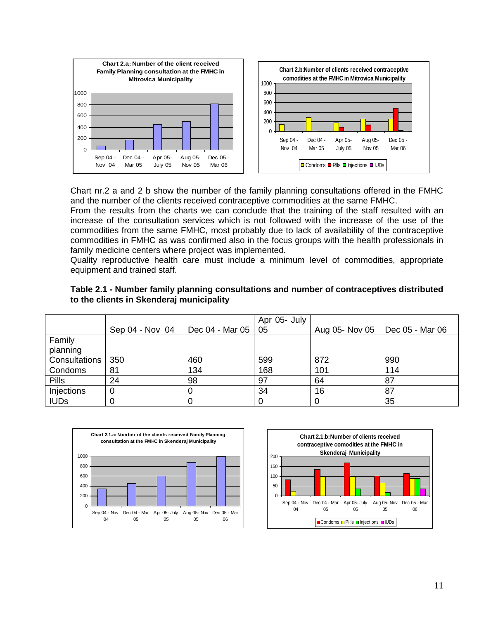

Chart nr.2 a and 2 b show the number of the family planning consultations offered in the FMHC and the number of the clients received contraceptive commodities at the same FMHC.

From the results from the charts we can conclude that the training of the staff resulted with an increase of the consultation services which is not followed with the increase of the use of the commodities from the same FMHC, most probably due to lack of availability of the contraceptive commodities in FMHC as was confirmed also in the focus groups with the health professionals in family medicine centers where project was implemented.

Quality reproductive health care must include a minimum level of commodities, appropriate equipment and trained staff.

|               |                 |                            | Apr 05- July |                |                 |
|---------------|-----------------|----------------------------|--------------|----------------|-----------------|
|               | Sep 04 - Nov 04 | Dec 04 - Mar 05 $\vert$ 05 |              | Aug 05- Nov 05 | Dec 05 - Mar 06 |
| Family        |                 |                            |              |                |                 |
| planning      |                 |                            |              |                |                 |
| Consultations | 350             | 460                        | 599          | 872            | 990             |
| Condoms       | 81              | 134                        | 168          | 101            | 114             |
| <b>Pills</b>  | 24              | 98                         | 97           | 64             | 87              |
| Injections    |                 | O                          | 34           | 16             | 87              |
| <b>IUDs</b>   |                 | 0                          |              |                | 35              |

| Table 2.1 - Number family planning consultations and number of contraceptives distributed |  |  |
|-------------------------------------------------------------------------------------------|--|--|
| to the clients in Skenderaj municipality                                                  |  |  |



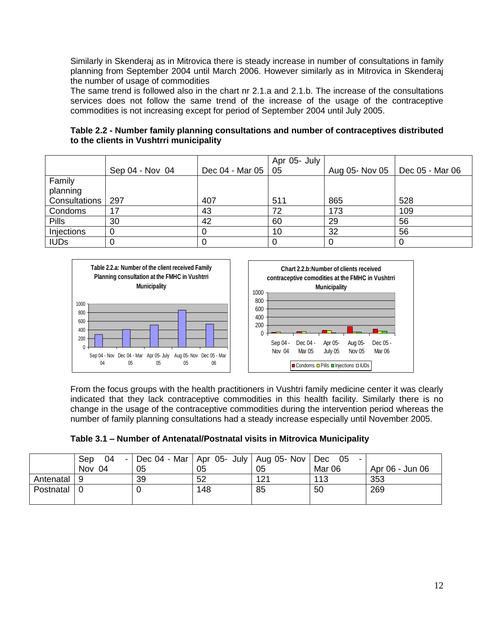Similarly in Skenderaj as in Mitrovica there is steady increase in number of consultations in family planning from September 2004 until March 2006. However similarly as in Mitrovica in Skenderaj the number of usage of commodities

The same trend is followed also in the chart nr 2.1.a and 2.1.b. The increase of the consultations services does not follow the same trend of the increase of the usage of the contraceptive commodities is not increasing except for period of September 2004 until July 2005.

**Table 2.2 - Number family planning consultations and number of contraceptives distributed to the clients in Vushtrri municipality**

|               |                 |                      | Apr 05- July |     |                                  |
|---------------|-----------------|----------------------|--------------|-----|----------------------------------|
|               | Sep 04 - Nov 04 | Dec 04 - Mar 05   05 |              |     | Aug 05- Nov 05   Dec 05 - Mar 06 |
| Family        |                 |                      |              |     |                                  |
| planning      |                 |                      |              |     |                                  |
| Consultations | 297             | 407                  | 511          | 865 | 528                              |
| Condoms       | 17              | 43                   | 72           | 173 | 109                              |
| <b>Pills</b>  | 30              | 42                   | 60           | 29  | 56                               |
| Injections    |                 |                      | 10           | 32  | 56                               |
| <b>IUDs</b>   |                 |                      |              | 0   |                                  |



From the focus groups with the health practitioners in Vushtri family medicine center it was clearly indicated that they lack contraceptive commodities in this health facility. Similarly there is no change in the usage of the contraceptive commodities during the intervention period whereas the number of family planning consultations had a steady increase especially until November 2005.

| Table 3.1 - Number of Antenatal/Postnatal visits in Mitrovica Municipality |  |  |  |  |
|----------------------------------------------------------------------------|--|--|--|--|
|----------------------------------------------------------------------------|--|--|--|--|

|             | 04<br>Sep<br>$\overline{\phantom{a}}$ | Dec 04 - Mar   Apr 05- July   Aug 05- Nov   Dec 05 |     |     |        |                 |
|-------------|---------------------------------------|----------------------------------------------------|-----|-----|--------|-----------------|
|             | Nov 04                                | 05                                                 | 05  | 05  | Mar 06 | Apr 06 - Jun 06 |
| Antenatal 9 |                                       | 39                                                 | 52  | 121 | 113    | 353             |
| Postnatal   |                                       |                                                    | 148 | 85  | 50     | 269             |
|             |                                       |                                                    |     |     |        |                 |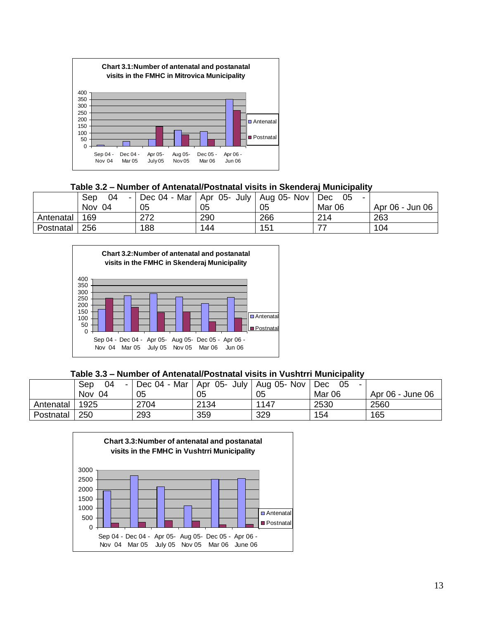

# **Table 3.2 – Number of Antenatal/Postnatal visits in Skenderaj Municipality**

|           | 04<br>Sep<br>- 1 | Dec 04 - Mar   Apr 05- July   Aug 05- Nov |     |     | -05<br>Dec<br>-   |                 |
|-----------|------------------|-------------------------------------------|-----|-----|-------------------|-----------------|
|           | Nov<br>04        | 05                                        | 05  | 05  | Mar <sub>06</sub> | Apr 06 - Jun 06 |
| Antenatal | 169              | 272                                       | 290 | 266 | 214               | 263             |
| Postnatal | 256              | 188                                       | 144 | 151 |                   | 104             |



### **Table 3.3 – Number of Antenatal/Postnatal visits in Vushtrri Municipality**

|           | 04<br>Sep |      | Dec 04 - Mar   Apr 05- July   Aug 05- Nov   Dec |      | -05    |                  |
|-----------|-----------|------|-------------------------------------------------|------|--------|------------------|
|           | Nov 04    | 05   | 05                                              | 05   | Mar 06 | Apr 06 - June 06 |
| Antenatal | 1925      | 2704 | 2134                                            | 1147 | 2530   | 2560             |
| Postnatal | 250       | 293  | 359                                             | 329  | 154    | 165              |

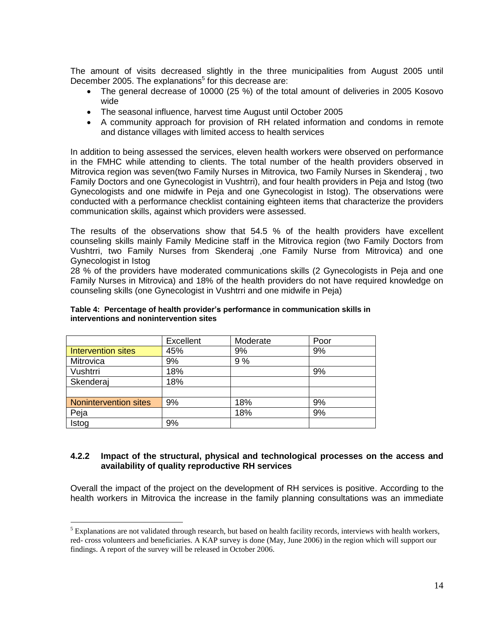The amount of visits decreased slightly in the three municipalities from August 2005 until December 2005. The explanations<sup>5</sup> for this decrease are:

- The general decrease of 10000 (25 %) of the total amount of deliveries in 2005 Kosovo wide
- The seasonal influence, harvest time August until October 2005
- A community approach for provision of RH related information and condoms in remote and distance villages with limited access to health services

In addition to being assessed the services, eleven health workers were observed on performance in the FMHC while attending to clients. The total number of the health providers observed in Mitrovica region was seven(two Family Nurses in Mitrovica, two Family Nurses in Skenderaj , two Family Doctors and one Gynecologist in Vushtrri), and four health providers in Peja and Istog (two Gynecologists and one midwife in Peja and one Gynecologist in Istog). The observations were conducted with a performance checklist containing eighteen items that characterize the providers communication skills, against which providers were assessed.

The results of the observations show that 54.5 % of the health providers have excellent counseling skills mainly Family Medicine staff in the Mitrovica region (two Family Doctors from Vushtrri, two Family Nurses from Skenderaj ,one Family Nurse from Mitrovica) and one Gynecologist in Istog

28 % of the providers have moderated communications skills (2 Gynecologists in Peja and one Family Nurses in Mitrovica) and 18% of the health providers do not have required knowledge on counseling skills (one Gynecologist in Vushtrri and one midwife in Peja)

|                       | Excellent | Moderate | Poor |
|-----------------------|-----------|----------|------|
| Intervention sites    | 45%       | 9%       | 9%   |
| Mitrovica             | 9%        | 9%       |      |
| Vushtrri              | 18%       |          | 9%   |
| Skenderaj             | 18%       |          |      |
|                       |           |          |      |
| Nonintervention sites | 9%        | 18%      | 9%   |
| Peja                  |           | 18%      | 9%   |
| Istog                 | 9%        |          |      |

 $\overline{a}$ 

#### **Table 4: Percentage of health provider's performance in communication skills in interventions and nonintervention sites**

#### **4.2.2 Impact of the structural, physical and technological processes on the access and availability of quality reproductive RH services**

Overall the impact of the project on the development of RH services is positive. According to the health workers in Mitrovica the increase in the family planning consultations was an immediate

 $<sup>5</sup>$  Explanations are not validated through research, but based on health facility records, interviews with health workers,</sup> red- cross volunteers and beneficiaries. A KAP survey is done (May, June 2006) in the region which will support our findings. A report of the survey will be released in October 2006.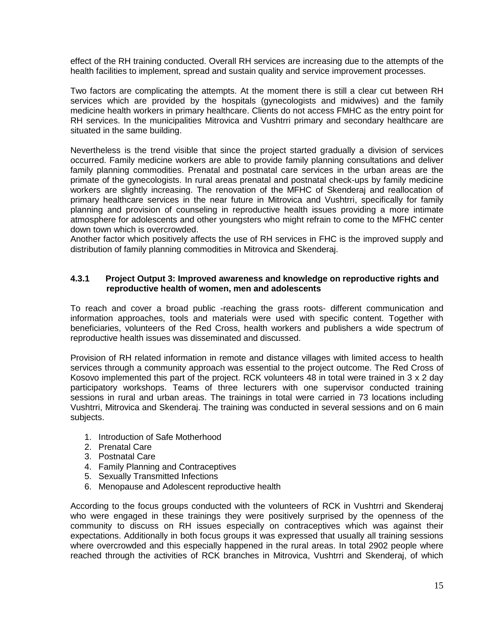effect of the RH training conducted. Overall RH services are increasing due to the attempts of the health facilities to implement, spread and sustain quality and service improvement processes.

Two factors are complicating the attempts. At the moment there is still a clear cut between RH services which are provided by the hospitals (gynecologists and midwives) and the family medicine health workers in primary healthcare. Clients do not access FMHC as the entry point for RH services. In the municipalities Mitrovica and Vushtrri primary and secondary healthcare are situated in the same building.

Nevertheless is the trend visible that since the project started gradually a division of services occurred. Family medicine workers are able to provide family planning consultations and deliver family planning commodities. Prenatal and postnatal care services in the urban areas are the primate of the gynecologists. In rural areas prenatal and postnatal check-ups by family medicine workers are slightly increasing. The renovation of the MFHC of Skenderaj and reallocation of primary healthcare services in the near future in Mitrovica and Vushtrri, specifically for family planning and provision of counseling in reproductive health issues providing a more intimate atmosphere for adolescents and other youngsters who might refrain to come to the MFHC center down town which is overcrowded.

Another factor which positively affects the use of RH services in FHC is the improved supply and distribution of family planning commodities in Mitrovica and Skenderaj.

#### **4.3.1 Project Output 3: Improved awareness and knowledge on reproductive rights and reproductive health of women, men and adolescents**

To reach and cover a broad public -reaching the grass roots- different communication and information approaches, tools and materials were used with specific content. Together with beneficiaries, volunteers of the Red Cross, health workers and publishers a wide spectrum of reproductive health issues was disseminated and discussed.

Provision of RH related information in remote and distance villages with limited access to health services through a community approach was essential to the project outcome. The Red Cross of Kosovo implemented this part of the project. RCK volunteers 48 in total were trained in 3 x 2 day participatory workshops. Teams of three lecturers with one supervisor conducted training sessions in rural and urban areas. The trainings in total were carried in 73 locations including Vushtrri, Mitrovica and Skenderaj. The training was conducted in several sessions and on 6 main subjects.

- 1. Introduction of Safe Motherhood
- 2. Prenatal Care
- 3. Postnatal Care
- 4. Family Planning and Contraceptives
- 5. Sexually Transmitted Infections
- 6. Menopause and Adolescent reproductive health

According to the focus groups conducted with the volunteers of RCK in Vushtrri and Skenderaj who were engaged in these trainings they were positively surprised by the openness of the community to discuss on RH issues especially on contraceptives which was against their expectations. Additionally in both focus groups it was expressed that usually all training sessions where overcrowded and this especially happened in the rural areas. In total 2902 people where reached through the activities of RCK branches in Mitrovica, Vushtrri and Skenderaj, of which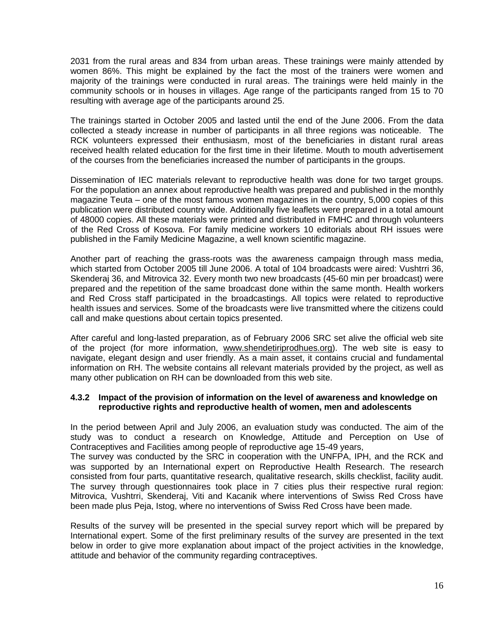2031 from the rural areas and 834 from urban areas. These trainings were mainly attended by women 86%. This might be explained by the fact the most of the trainers were women and majority of the trainings were conducted in rural areas. The trainings were held mainly in the community schools or in houses in villages. Age range of the participants ranged from 15 to 70 resulting with average age of the participants around 25.

The trainings started in October 2005 and lasted until the end of the June 2006. From the data collected a steady increase in number of participants in all three regions was noticeable. The RCK volunteers expressed their enthusiasm, most of the beneficiaries in distant rural areas received health related education for the first time in their lifetime. Mouth to mouth advertisement of the courses from the beneficiaries increased the number of participants in the groups.

Dissemination of IEC materials relevant to reproductive health was done for two target groups. For the population an annex about reproductive health was prepared and published in the monthly magazine Teuta – one of the most famous women magazines in the country, 5,000 copies of this publication were distributed country wide. Additionally five leaflets were prepared in a total amount of 48000 copies. All these materials were printed and distributed in FMHC and through volunteers of the Red Cross of Kosova. For family medicine workers 10 editorials about RH issues were published in the Family Medicine Magazine, a well known scientific magazine.

Another part of reaching the grass-roots was the awareness campaign through mass media, which started from October 2005 till June 2006. A total of 104 broadcasts were aired: Vushtrri 36, Skenderaj 36, and Mitrovica 32. Every month two new broadcasts (45-60 min per broadcast) were prepared and the repetition of the same broadcast done within the same month. Health workers and Red Cross staff participated in the broadcastings. All topics were related to reproductive health issues and services. Some of the broadcasts were live transmitted where the citizens could call and make questions about certain topics presented.

After careful and long-lasted preparation, as of February 2006 SRC set alive the official web site of the project (for more information, [www.shendetiriprodhues.org\)](http://www.shendetiriprodhues.org/). The web site is easy to navigate, elegant design and user friendly. As a main asset, it contains crucial and fundamental information on RH. The website contains all relevant materials provided by the project, as well as many other publication on RH can be downloaded from this web site.

#### **4.3.2 Impact of the provision of information on the level of awareness and knowledge on reproductive rights and reproductive health of women, men and adolescents**

In the period between April and July 2006, an evaluation study was conducted. The aim of the study was to conduct a research on Knowledge, Attitude and Perception on Use of Contraceptives and Facilities among people of reproductive age 15-49 years,

The survey was conducted by the SRC in cooperation with the UNFPA, IPH, and the RCK and was supported by an International expert on Reproductive Health Research. The research consisted from four parts, quantitative research, qualitative research, skills checklist, facility audit. The survey through questionnaires took place in 7 cities plus their respective rural region: Mitrovica, Vushtrri, Skenderaj, Viti and Kacanik where interventions of Swiss Red Cross have been made plus Peja, Istog, where no interventions of Swiss Red Cross have been made.

Results of the survey will be presented in the special survey report which will be prepared by International expert. Some of the first preliminary results of the survey are presented in the text below in order to give more explanation about impact of the project activities in the knowledge, attitude and behavior of the community regarding contraceptives.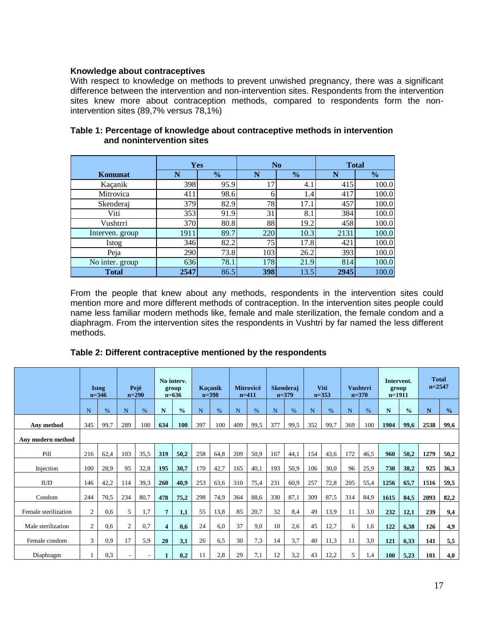### **Knowledge about contraceptives**

With respect to knowledge on methods to prevent unwished pregnancy, there was a significant difference between the intervention and non-intervention sites. Respondents from the intervention sites knew more about contraception methods, compared to respondents form the nonintervention sites (89,7% versus 78,1%)

|                 | Yes  |               |     | No            | <b>Total</b> |               |  |  |
|-----------------|------|---------------|-----|---------------|--------------|---------------|--|--|
| <b>Komunat</b>  | N    | $\frac{1}{2}$ | N   | $\frac{6}{6}$ | N            | $\frac{6}{9}$ |  |  |
| Kaçanik         | 398  | 95.9          | 17  | 4.1           | 415          | 100.0         |  |  |
| Mitrovica       | 411  | 98.6          | h   | 1.4           | 417          | 100.0         |  |  |
| Skenderaj       | 379  | 82.9          | 78  | 17.1          | 457          | 100.0         |  |  |
| Viti            | 353  | 91.9          | 31  | 8.1           | 384          | 100.0         |  |  |
| Vushtrri        | 370  | 80.8          | 88  | 19.2          | 458          | 100.0         |  |  |
| Interven. group | 1911 | 89.7          | 220 | 10.3          | 2131         | 100.0         |  |  |
| Istog           | 346  | 82.2          | 75  | 17.8          | 421          | 100.0         |  |  |
| Peja            | 290  | 73.8          | 103 | 26.2          | 393          | 100.0         |  |  |
| No inter. group | 636  | 78.1          | 178 | 21.9          | 814          | 100.0         |  |  |
| <b>Total</b>    | 2547 | 86.5          | 398 | 13.5          | 2945         | 100.0         |  |  |

### **Table 1: Percentage of knowledge about contraceptive methods in intervention and nonintervention sites**

From the people that knew about any methods, respondents in the intervention sites could mention more and more different methods of contraception. In the intervention sites people could name less familiar modern methods like, female and male sterilization, the female condom and a diaphragm. From the intervention sites the respondents in Vushtri by far named the less different methods.

### **Table 2: Different contraceptive mentioned by the respondents**

|                      | Pejë<br><b>Istog</b><br>$n = 346$<br>$n=290$ |      | No interv.<br>group<br>$n=636$ |      |                         | Kaçanik<br>$n=398$ |     | <b>Mitrovicë</b><br>$n=411$ |     | <b>Skenderaj</b><br>$n=379$ |     | <b>Viti</b><br>$n = 353$ |             | <b>Vushtrri</b><br>$n=370$ |     | Intervent.<br>group<br>$n=1911$ |      | <b>Total</b><br>$n=2547$ |      |               |
|----------------------|----------------------------------------------|------|--------------------------------|------|-------------------------|--------------------|-----|-----------------------------|-----|-----------------------------|-----|--------------------------|-------------|----------------------------|-----|---------------------------------|------|--------------------------|------|---------------|
|                      | N                                            | $\%$ | N                              | $\%$ | N                       | $\frac{0}{0}$      | N   | $\%$                        | N   | $\%$                        | N   | $\frac{0}{6}$            | $\mathbf N$ | $\%$                       | N   | $\frac{9}{6}$                   | N    | $\frac{0}{0}$            | N    | $\frac{0}{0}$ |
| Any method           | 345                                          | 99,7 | 289                            | 100  | 634                     | 100                | 397 | 100                         | 409 | 99,5                        | 377 | 99,5                     | 352         | 99,7                       | 369 | 100                             | 1904 | 99,6                     | 2538 | 99,6          |
| Any modern method    |                                              |      |                                |      |                         |                    |     |                             |     |                             |     |                          |             |                            |     |                                 |      |                          |      |               |
| Pill                 | 216                                          | 62,4 | 103                            | 35.5 | 319                     | 50,2               | 258 | 64,8                        | 209 | 50,9                        | 167 | 44,1                     | 154         | 43,6                       | 172 | 46,5                            | 960  | 50,2                     | 1279 | 50,2          |
| Injection            | 100                                          | 28,9 | 95                             | 32,8 | 195                     | 30,7               | 170 | 42,7                        | 165 | 40,1                        | 193 | 50,9                     | 106         | 30,0                       | 96  | 25,9                            | 730  | 38,2                     | 925  | 36,3          |
| $\rm IUD$            | 146                                          | 42,2 | 114                            | 39.3 | 260                     | 40,9               | 253 | 63,6                        | 310 | 75,4                        | 231 | 60,9                     | 257         | 72,8                       | 205 | 55,4                            | 1256 | 65,7                     | 1516 | 59,5          |
| Condom               | 244                                          | 70,5 | 234                            | 80,7 | 478                     | 75,2               | 298 | 74,9                        | 364 | 88,6                        | 330 | 87,1                     | 309         | 87,5                       | 314 | 84.9                            | 1615 | 84,5                     | 2093 | 82,2          |
| Female sterilization | $\mathfrak{2}$                               | 0.6  | 5                              | 1.7  |                         | 1.1                | 55  | 13,8                        | 85  | 20,7                        | 32  | 8,4                      | 49          | 13,9                       | 11  | 3.0                             | 232  | 12,1                     | 239  | 9,4           |
| Male sterilization   | 2                                            | 0.6  | $\overline{c}$                 | 0,7  | $\overline{\mathbf{4}}$ | 0,6                | 24  | 6.0                         | 37  | 9,0                         | 10  | 2,6                      | 45          | 12,7                       | 6   | 1,6                             | 122  | 6,38                     | 126  | 4.9           |
| Female condom        | 3                                            | 0.9  | 17                             | 5,9  | 20                      | 3,1                | 26  | 6,5                         | 30  | 7.3                         | 14  | 3,7                      | 40          | 11,3                       | 11  | 3,0                             | 121  | 6,33                     | 141  | 5,5           |
| Diaphragm            |                                              | 0.3  |                                |      |                         | 0.2                | 11  | 2.8                         | 29  | 7,1                         | 12  | 3,2                      | 43          | 12,2                       | 5.  | 1,4                             | 100  | 5,23                     | 101  | 4,0           |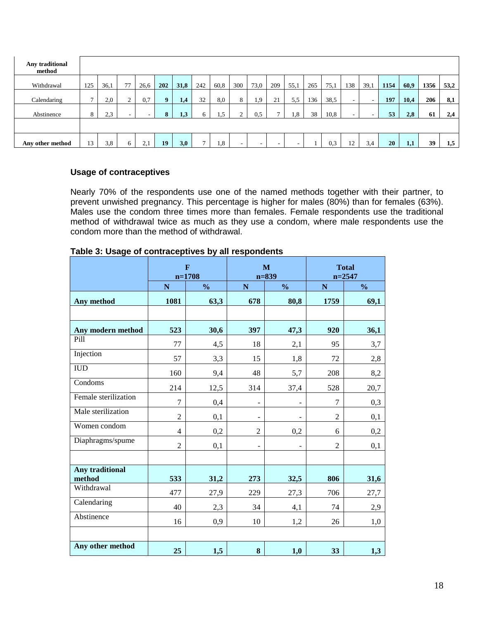| Any traditional<br>method |              |      |        |                                 |              |            |     |                        |                          |                          |                          |                          |     |      |     |      |      |      |      |      |
|---------------------------|--------------|------|--------|---------------------------------|--------------|------------|-----|------------------------|--------------------------|--------------------------|--------------------------|--------------------------|-----|------|-----|------|------|------|------|------|
| Withdrawal                | 125          | 36,1 | 77     | 26,6                            | 202          | 31,8       | 242 | 60,8                   | 300                      | 73,0                     | 209                      | 55,1                     | 265 | 75,1 | 138 | 39,1 | 1154 | 60,9 | 1356 | 53,2 |
| Calendaring               | $\mathbf{r}$ | 2,0  | $\sim$ | 0.7                             | $\mathbf{o}$ | 1.4        | 32  | 8,0                    | 8                        | 1,9                      | 21                       | 5,5                      | 136 | 38,5 | -   |      | 197  | 10,4 | 206  | 8,1  |
| Abstinence                | 8            | 2.3  | $\sim$ |                                 | 8            | 1,3        | 6   | .5                     | $\overline{2}$           | 0,5                      | $\overline{ }$           | 1.8                      | 38  | 10,8 |     | -    | 53   | 2,8  | 61   | 2,4  |
|                           |              |      |        |                                 |              |            |     |                        |                          |                          |                          |                          |     |      |     |      |      |      |      |      |
| Any other method          | 13           | 3.8  | 6      | 21<br>$\mathcal{L}, \mathbf{I}$ | 19           | <b>3,0</b> | 7   | $\cdot$ <sup>8</sup> . | $\overline{\phantom{0}}$ | $\overline{\phantom{0}}$ | $\overline{\phantom{0}}$ | $\overline{\phantom{a}}$ |     | 0,3  | 12  | 3,4  | 20   | 1,1  | 39   | 1,5  |

#### **Usage of contraceptives**

Nearly 70% of the respondents use one of the named methods together with their partner, to prevent unwished pregnancy. This percentage is higher for males (80%) than for females (63%). Males use the condom three times more than females. Female respondents use the traditional method of withdrawal twice as much as they use a condom, where male respondents use the condom more than the method of withdrawal.

|                           |                | $\mathbf{F}$<br>$n=1708$ |                          | $\mathbf{M}$<br>$n = 839$ | <b>Total</b><br>$n = 2547$ |               |  |  |
|---------------------------|----------------|--------------------------|--------------------------|---------------------------|----------------------------|---------------|--|--|
|                           | N              | $\frac{0}{0}$            | $\mathbf N$              | $\frac{0}{0}$             | $\mathbf N$                | $\frac{0}{0}$ |  |  |
| Any method                | 1081           | 63,3                     | 678                      | 80,8                      | 1759                       | 69,1          |  |  |
|                           |                |                          |                          |                           |                            |               |  |  |
| Any modern method         | 523            | 30,6                     | 397                      | 47,3                      | 920                        | 36,1          |  |  |
| Pill                      | 77             | 4,5                      | 18                       | 2,1                       | 95                         | 3,7           |  |  |
| Injection                 | 57             | 3,3                      | 15                       | 1,8                       | 72                         | 2,8           |  |  |
| <b>IUD</b>                | 160            | 9,4                      | 48                       | 5,7                       | 208                        | 8,2           |  |  |
| Condoms                   | 214            | 12,5                     | 314                      | 37,4                      | 528                        | 20,7          |  |  |
| Female sterilization      | 7              | 0,4                      | $\overline{\phantom{a}}$ | $\blacksquare$            | 7                          | 0,3           |  |  |
| Male sterilization        | $\overline{2}$ | 0,1                      | -                        |                           | $\overline{2}$             | 0,1           |  |  |
| Women condom              | $\overline{4}$ | 0,2                      | $\overline{2}$           | 0,2                       | 6                          | 0,2           |  |  |
| Diaphragms/spume          | $\overline{2}$ | 0,1                      |                          |                           | $\overline{c}$             | 0,1           |  |  |
|                           |                |                          |                          |                           |                            |               |  |  |
| Any traditional<br>method | 533            | 31,2                     | 273                      | 32,5                      | 806                        | 31,6          |  |  |
| Withdrawal                | 477            | 27,9                     | 229                      | 27,3                      | 706                        | 27,7          |  |  |
| Calendaring               | 40             | 2,3                      | 34                       | 4,1                       | 74                         | 2,9           |  |  |
| Abstinence                | 16             | 0,9                      | 10                       | 1,2                       | 26                         | 1,0           |  |  |
|                           |                |                          |                          |                           |                            |               |  |  |
| Any other method          | 25             | 1,5                      | 8                        | 1,0                       | 33                         | 1,3           |  |  |

| Table 3: Usage of contraceptives by all respondents |
|-----------------------------------------------------|
|-----------------------------------------------------|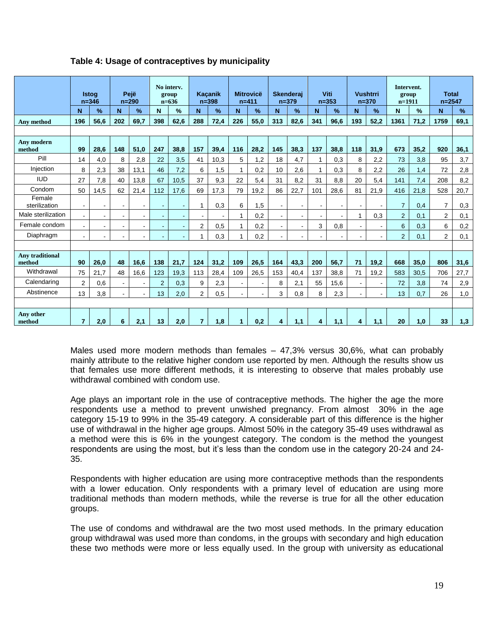|                                  | <b>Istoa</b><br>$n = 346$ |                | Pejë<br>$n = 290$ |               | No interv.<br>group<br>$n=636$ |               | <b>Kaçanik</b><br>$n = 398$ |               | <b>Mitrovicë</b><br>$n = 411$ |                | <b>Skenderai</b><br>$n = 379$ |                | Viti<br>$n = 353$ |                | <b>Vushtrri</b><br>$n = 370$ |                          | Intervent.<br>group<br>$n=1911$ |               | <b>Total</b><br>$n = 2547$ |               |
|----------------------------------|---------------------------|----------------|-------------------|---------------|--------------------------------|---------------|-----------------------------|---------------|-------------------------------|----------------|-------------------------------|----------------|-------------------|----------------|------------------------------|--------------------------|---------------------------------|---------------|----------------------------|---------------|
|                                  | N                         | %              | N                 | $\frac{9}{6}$ | N                              | $\frac{9}{6}$ | N                           | $\frac{9}{6}$ | N                             | $\%$           | N                             | $\frac{9}{6}$  | N                 | $\frac{9}{6}$  | N                            | $\frac{9}{6}$            | N                               | $\frac{9}{6}$ | N                          | $\frac{9}{6}$ |
| Any method                       | 196                       | 56.6           | 202               | 69.7          | 398                            | 62.6          | 288                         | 72,4          | 226                           | 55.0           | 313                           | 82,6           | 341               | 96.6           | 193                          | 52.2                     | 1361                            | 71,2          | 1759                       | 69,1          |
|                                  |                           |                |                   |               |                                |               |                             |               |                               |                |                               |                |                   |                |                              |                          |                                 |               |                            |               |
| <b>Anv</b> modern<br>method      | 99                        | 28,6           | 148               | 51,0          | 247                            | 38.8          | 157                         | 39,4          | 116                           | 28,2           | 145                           | 38,3           | 137               | 38.8           | 118                          | 31,9                     | 673                             | 35,2          | 920                        | 36,1          |
| Pill                             | 14                        | 4,0            | 8                 | 2,8           | 22                             | 3,5           | 41                          | 10,3          | 5                             | 1,2            | 18                            | 4,7            | 1                 | 0,3            | 8                            | 2,2                      | 73                              | 3,8           | 95                         | 3,7           |
| Injection                        | 8                         | 2,3            | 38                | 13,1          | 46                             | 7.2           | 6                           | 1,5           | $\mathbf{1}$                  | 0,2            | 10 <sup>1</sup>               | 2,6            |                   | 0.3            | 8                            | 2,2                      | 26                              | 1,4           | 72                         | 2,8           |
| <b>IUD</b>                       | 27                        | 7,8            | 40                | 13.8          | 67                             | 10.5          | 37                          | 9,3           | 22                            | 5,4            | 31                            | 8,2            | 31                | 8.8            | 20                           | 5,4                      | 141                             | 7,4           | 208                        | 8,2           |
| Condom                           | 50                        | 14,5           | 62                | 21.4          | 112                            | 17.6          | 69                          | 17,3          | 79                            | 19,2           | 86                            | 22,7           | 101               | 28.6           | 81                           | 21,9                     | 416                             | 21,8          | 528                        | 20,7          |
| Female<br>sterilization          | ä,                        | $\blacksquare$ |                   |               | $\sim$                         |               | 1                           | 0,3           | 6                             | 1,5            | $\sim$                        |                |                   | $\blacksquare$ | $\blacksquare$               |                          | $\overline{7}$                  | 0,4           | $\overline{7}$             | 0,3           |
| Male sterilization               | $\sim$                    |                |                   | $\sim$        | $\sim$                         |               |                             |               | $\mathbf{1}$                  | 0,2            | $\blacksquare$                | $\blacksquare$ |                   |                | $\mathbf{1}$                 | 0.3                      | 2                               | 0.1           | $\overline{2}$             | 0,1           |
| Female condom                    | ÷                         | $\sim$         |                   |               | ÷.                             |               | $\overline{2}$              | 0,5           | $\mathbf{1}$                  | 0,2            |                               |                | 3                 | 0.8            | $\sim$                       |                          | 6                               | 0,3           | 6                          | 0,2           |
| Diaphragm                        | ÷.                        |                |                   |               | ÷.                             |               | 1                           | 0,3           | $\mathbf{1}$                  | 0,2            |                               |                |                   |                | $\overline{a}$               | $\blacksquare$           | 2                               | 0,1           | $\overline{2}$             | 0,1           |
|                                  |                           |                |                   |               |                                |               |                             |               |                               |                |                               |                |                   |                |                              |                          |                                 |               |                            |               |
| <b>Any traditional</b><br>method | 90                        | 26.0           | 48                | 16.6          | 138                            | 21.7          | 124                         | 31.2          | 109                           | 26,5           | 164                           | 43,3           | 200               | 56.7           | 71                           | 19.2                     | 668                             | 35.0          | 806                        | 31,6          |
| Withdrawal                       | 75                        | 21.7           | 48                | 16.6          | 123                            | 19.3          | 113                         | 28,4          | 109                           | 26.5           | 153                           | 40,4           | 137               | 38.8           | 71                           | 19,2                     | 583                             | 30,5          | 706                        | 27,7          |
| Calendaring                      | $\overline{2}$            | 0,6            |                   | $\mathbf{r}$  | $\overline{2}$                 | 0.3           | 9                           | 2,3           |                               | $\blacksquare$ | 8                             | 2,1            | 55                | 15.6           | $\blacksquare$               |                          | 72                              | 3,8           | 74                         | 2,9           |
| Abstinence                       | 13                        | 3,8            | $\sim$            | $\sim$        | 13                             | 2,0           | $\overline{2}$              | 0,5           |                               | $\sim$         | 3                             | 0,8            | 8                 | 2,3            | $\sim$                       | $\overline{\phantom{a}}$ | 13                              | 0,7           | 26                         | 1,0           |
|                                  |                           |                |                   |               |                                |               |                             |               |                               |                |                               |                |                   |                |                              |                          |                                 |               |                            |               |
| Any other<br>method              | $\overline{7}$            | 2,0            | 6                 | 2,1           | 13                             | 2,0           | $\overline{7}$              | 1,8           | 1.                            | 0,2            | 4                             | 1,1            | 4                 | 1,1            | 4                            | 1,1                      | 20                              | 1,0           | 33                         | 1,3           |

## **Table 4: Usage of contraceptives by municipality**

Males used more modern methods than females – 47,3% versus 30,6%, what can probably mainly attribute to the relative higher condom use reported by men. Although the results show us that females use more different methods, it is interesting to observe that males probably use withdrawal combined with condom use.

Age plays an important role in the use of contraceptive methods. The higher the age the more respondents use a method to prevent unwished pregnancy. From almost 30% in the age category 15-19 to 99% in the 35-49 category. A considerable part of this difference is the higher use of withdrawal in the higher age groups. Almost 50% in the category 35-49 uses withdrawal as a method were this is 6% in the youngest category. The condom is the method the youngest respondents are using the most, but it's less than the condom use in the category 20-24 and 24- 35.

Respondents with higher education are using more contraceptive methods than the respondents with a lower education. Only respondents with a primary level of education are using more traditional methods than modern methods, while the reverse is true for all the other education groups.

The use of condoms and withdrawal are the two most used methods. In the primary education group withdrawal was used more than condoms, in the groups with secondary and high education these two methods were more or less equally used. In the group with university as educational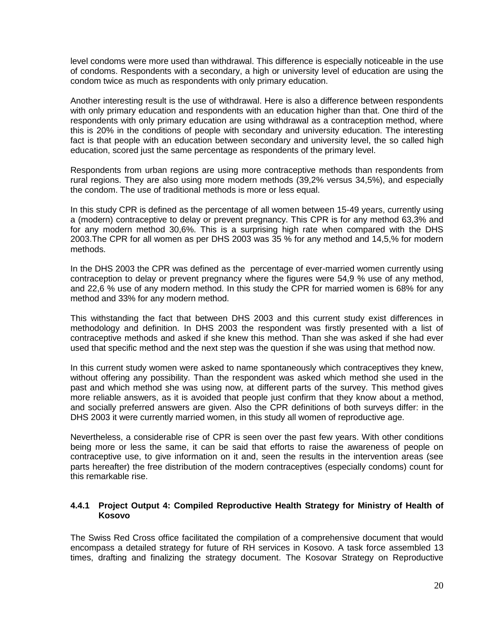level condoms were more used than withdrawal. This difference is especially noticeable in the use of condoms. Respondents with a secondary, a high or university level of education are using the condom twice as much as respondents with only primary education.

Another interesting result is the use of withdrawal. Here is also a difference between respondents with only primary education and respondents with an education higher than that. One third of the respondents with only primary education are using withdrawal as a contraception method, where this is 20% in the conditions of people with secondary and university education. The interesting fact is that people with an education between secondary and university level, the so called high education, scored just the same percentage as respondents of the primary level.

Respondents from urban regions are using more contraceptive methods than respondents from rural regions. They are also using more modern methods (39,2% versus 34,5%), and especially the condom. The use of traditional methods is more or less equal.

In this study CPR is defined as the percentage of all women between 15-49 years, currently using a (modern) contraceptive to delay or prevent pregnancy. This CPR is for any method 63,3% and for any modern method 30,6%. This is a surprising high rate when compared with the DHS 2003.The CPR for all women as per DHS 2003 was 35 % for any method and 14,5,% for modern methods.

In the DHS 2003 the CPR was defined as the percentage of ever-married women currently using contraception to delay or prevent pregnancy where the figures were 54,9 % use of any method, and 22,6 % use of any modern method. In this study the CPR for married women is 68% for any method and 33% for any modern method.

This withstanding the fact that between DHS 2003 and this current study exist differences in methodology and definition. In DHS 2003 the respondent was firstly presented with a list of contraceptive methods and asked if she knew this method. Than she was asked if she had ever used that specific method and the next step was the question if she was using that method now.

In this current study women were asked to name spontaneously which contraceptives they knew, without offering any possibility. Than the respondent was asked which method she used in the past and which method she was using now, at different parts of the survey. This method gives more reliable answers, as it is avoided that people just confirm that they know about a method, and socially preferred answers are given. Also the CPR definitions of both surveys differ: in the DHS 2003 it were currently married women, in this study all women of reproductive age.

Nevertheless, a considerable rise of CPR is seen over the past few years. With other conditions being more or less the same, it can be said that efforts to raise the awareness of people on contraceptive use, to give information on it and, seen the results in the intervention areas (see parts hereafter) the free distribution of the modern contraceptives (especially condoms) count for this remarkable rise.

### **4.4.1 Project Output 4: Compiled Reproductive Health Strategy for Ministry of Health of Kosovo**

The Swiss Red Cross office facilitated the compilation of a comprehensive document that would encompass a detailed strategy for future of RH services in Kosovo. A task force assembled 13 times, drafting and finalizing the strategy document. The Kosovar Strategy on Reproductive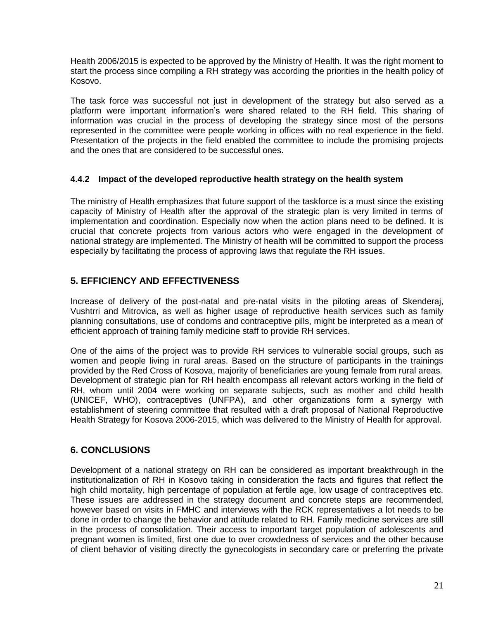Health 2006/2015 is expected to be approved by the Ministry of Health. It was the right moment to start the process since compiling a RH strategy was according the priorities in the health policy of Kosovo.

The task force was successful not just in development of the strategy but also served as a platform were important information's were shared related to the RH field. This sharing of information was crucial in the process of developing the strategy since most of the persons represented in the committee were people working in offices with no real experience in the field. Presentation of the projects in the field enabled the committee to include the promising projects and the ones that are considered to be successful ones.

### **4.4.2 Impact of the developed reproductive health strategy on the health system**

The ministry of Health emphasizes that future support of the taskforce is a must since the existing capacity of Ministry of Health after the approval of the strategic plan is very limited in terms of implementation and coordination. Especially now when the action plans need to be defined. It is crucial that concrete projects from various actors who were engaged in the development of national strategy are implemented. The Ministry of health will be committed to support the process especially by facilitating the process of approving laws that regulate the RH issues.

# **5. EFFICIENCY AND EFFECTIVENESS**

Increase of delivery of the post-natal and pre-natal visits in the piloting areas of Skenderaj, Vushtrri and Mitrovica, as well as higher usage of reproductive health services such as family planning consultations, use of condoms and contraceptive pills, might be interpreted as a mean of efficient approach of training family medicine staff to provide RH services.

One of the aims of the project was to provide RH services to vulnerable social groups, such as women and people living in rural areas. Based on the structure of participants in the trainings provided by the Red Cross of Kosova, majority of beneficiaries are young female from rural areas. Development of strategic plan for RH health encompass all relevant actors working in the field of RH, whom until 2004 were working on separate subjects, such as mother and child health (UNICEF, WHO), contraceptives (UNFPA), and other organizations form a synergy with establishment of steering committee that resulted with a draft proposal of National Reproductive Health Strategy for Kosova 2006-2015, which was delivered to the Ministry of Health for approval.

# **6. CONCLUSIONS**

Development of a national strategy on RH can be considered as important breakthrough in the institutionalization of RH in Kosovo taking in consideration the facts and figures that reflect the high child mortality, high percentage of population at fertile age, low usage of contraceptives etc. These issues are addressed in the strategy document and concrete steps are recommended, however based on visits in FMHC and interviews with the RCK representatives a lot needs to be done in order to change the behavior and attitude related to RH. Family medicine services are still in the process of consolidation. Their access to important target population of adolescents and pregnant women is limited, first one due to over crowdedness of services and the other because of client behavior of visiting directly the gynecologists in secondary care or preferring the private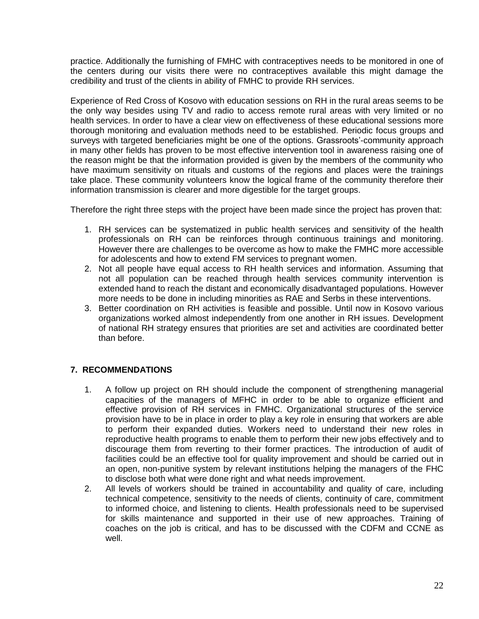practice. Additionally the furnishing of FMHC with contraceptives needs to be monitored in one of the centers during our visits there were no contraceptives available this might damage the credibility and trust of the clients in ability of FMHC to provide RH services.

Experience of Red Cross of Kosovo with education sessions on RH in the rural areas seems to be the only way besides using TV and radio to access remote rural areas with very limited or no health services. In order to have a clear view on effectiveness of these educational sessions more thorough monitoring and evaluation methods need to be established. Periodic focus groups and surveys with targeted beneficiaries might be one of the options. Grassroots'-community approach in many other fields has proven to be most effective intervention tool in awareness raising one of the reason might be that the information provided is given by the members of the community who have maximum sensitivity on rituals and customs of the regions and places were the trainings take place. These community volunteers know the logical frame of the community therefore their information transmission is clearer and more digestible for the target groups.

Therefore the right three steps with the project have been made since the project has proven that:

- 1. RH services can be systematized in public health services and sensitivity of the health professionals on RH can be reinforces through continuous trainings and monitoring. However there are challenges to be overcome as how to make the FMHC more accessible for adolescents and how to extend FM services to pregnant women.
- 2. Not all people have equal access to RH health services and information. Assuming that not all population can be reached through health services community intervention is extended hand to reach the distant and economically disadvantaged populations. However more needs to be done in including minorities as RAE and Serbs in these interventions.
- 3. Better coordination on RH activities is feasible and possible. Until now in Kosovo various organizations worked almost independently from one another in RH issues. Development of national RH strategy ensures that priorities are set and activities are coordinated better than before.

# **7. RECOMMENDATIONS**

- 1. A follow up project on RH should include the component of strengthening managerial capacities of the managers of MFHC in order to be able to organize efficient and effective provision of RH services in FMHC. Organizational structures of the service provision have to be in place in order to play a key role in ensuring that workers are able to perform their expanded duties. Workers need to understand their new roles in reproductive health programs to enable them to perform their new jobs effectively and to discourage them from reverting to their former practices. The introduction of audit of facilities could be an effective tool for quality improvement and should be carried out in an open, non-punitive system by relevant institutions helping the managers of the FHC to disclose both what were done right and what needs improvement.
- 2. All levels of workers should be trained in accountability and quality of care, including technical competence, sensitivity to the needs of clients, continuity of care, commitment to informed choice, and listening to clients. Health professionals need to be supervised for skills maintenance and supported in their use of new approaches. Training of coaches on the job is critical, and has to be discussed with the CDFM and CCNE as well.